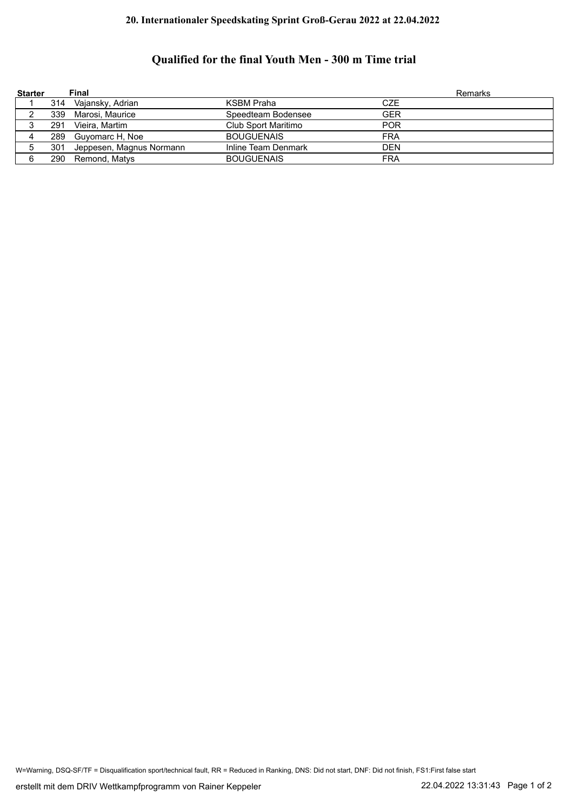## **20. Internationaler Speedskating Sprint Groß-Gerau 2022 at 22.04.2022**

## **Qualified for the final Youth Men - 300 m Time trial**

| <b>Starter</b> |     | Final                        |                     | <b>Remarks</b> |
|----------------|-----|------------------------------|---------------------|----------------|
|                |     | 314 Vajansky, Adrian         | <b>KSBM Praha</b>   | <b>CZE</b>     |
|                |     | 339 Marosi, Maurice          | Speedteam Bodensee  | <b>GER</b>     |
| J              | 291 | Vieira, Martim               | Club Sport Maritimo | <b>POR</b>     |
|                |     | 289 Guyomarc H, Noe          | <b>BOUGUENAIS</b>   | <b>FRA</b>     |
| 5              |     | 301 Jeppesen, Magnus Normann | Inline Team Denmark | <b>DEN</b>     |
| 6              |     | 290 Remond, Matys            | <b>BOUGUENAIS</b>   | <b>FRA</b>     |

W=Warning, DSQ-SF/TF = Disqualification sport/technical fault, RR = Reduced in Ranking, DNS: Did not start, DNF: Did not finish, FS1:First false start